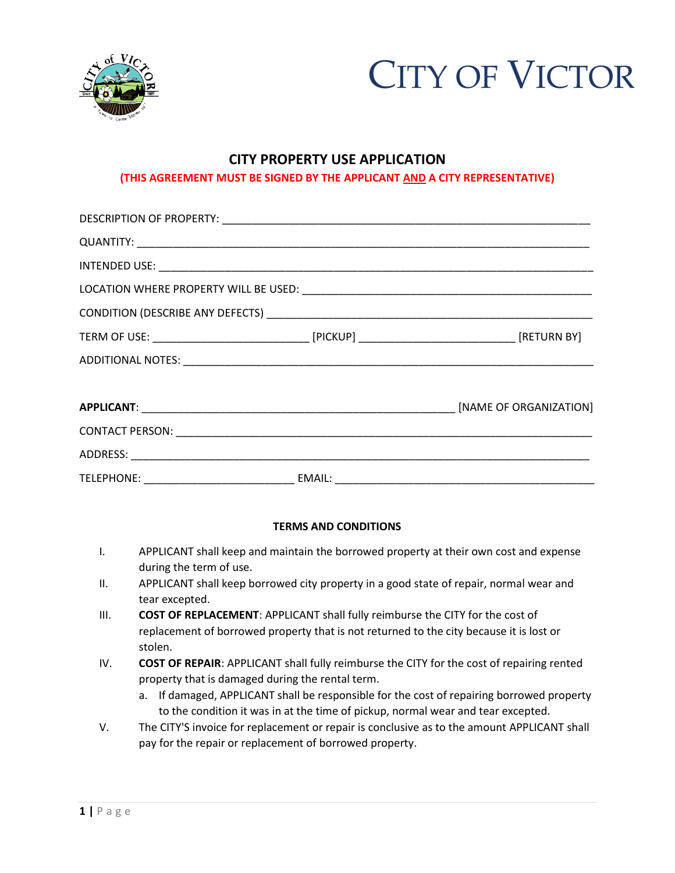



## **CITY PROPERTY USE APPLICATION**

## **(THIS AGREEMENT MUST BE SIGNED BY THE APPLICANT AND A CITY REPRESENTATIVE)**

## **TERMS AND CONDITIONS**

- I. APPLICANT shall keep and maintain the borrowed property at their own cost and expense during the term of use.
- II. APPLICANT shall keep borrowed city property in a good state of repair, normal wear and tear excepted.
- III. **COST OF REPLACEMENT**: APPLICANT shall fully reimburse the CITY for the cost of replacement of borrowed property that is not returned to the city because it is lost or stolen.
- IV. **COST OF REPAIR**: APPLICANT shall fully reimburse the CITY for the cost of repairing rented property that is damaged during the rental term.
	- a. If damaged, APPLICANT shall be responsible for the cost of repairing borrowed property to the condition it was in at the time of pickup, normal wear and tear excepted.
- V. The CITY'S invoice for replacement or repair is conclusive as to the amount APPLICANT shall pay for the repair or replacement of borrowed property.